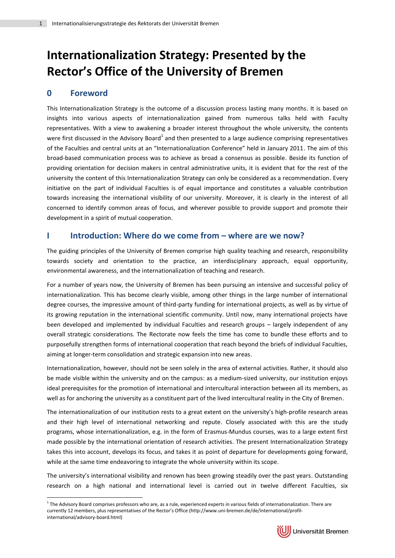# **Internationalization Strategy: Presented by the Rector's Office of the University of Bremen**

# **0 Foreword**

1

This Internationalization Strategy is the outcome of a discussion process lasting many months. It is based on insights into various aspects of internationalization gained from numerous talks held with Faculty representatives. With a view to awakening a broader interest throughout the whole university, the contents were first discussed in the Advisory Board<sup>1</sup> and then presented to a large audience comprising representatives of the Faculties and central units at an "Internationalization Conference" held in January 2011. The aim of this broad-based communication process was to achieve as broad a consensus as possible. Beside its function of providing orientation for decision makers in central administrative units, it is evident that for the rest of the university the content of this Internationalization Strategy can only be considered as a recommendation. Every initiative on the part of individual Faculties is of equal importance and constitutes a valuable contribution towards increasing the international visibility of our university. Moreover, it is clearly in the interest of all concerned to identify common areas of focus, and wherever possible to provide support and promote their development in a spirit of mutual cooperation.

## **I Introduction: Where do we come from – where are we now?**

The guiding principles of the University of Bremen comprise high quality teaching and research, responsibility towards society and orientation to the practice, an interdisciplinary approach, equal opportunity, environmental awareness, and the internationalization of teaching and research.

For a number of years now, the University of Bremen has been pursuing an intensive and successful policy of internationalization. This has become clearly visible, among other things in the large number of international degree courses, the impressive amount of third-party funding for international projects, as well as by virtue of its growing reputation in the international scientific community. Until now, many international projects have been developed and implemented by individual Faculties and research groups – largely independent of any overall strategic considerations. The Rectorate now feels the time has come to bundle these efforts and to purposefully strengthen forms of international cooperation that reach beyond the briefs of individual Faculties, aiming at longer-term consolidation and strategic expansion into new areas.

Internationalization, however, should not be seen solely in the area of external activities. Rather, it should also be made visible within the university and on the campus: as a medium-sized university, our institution enjoys ideal prerequisites for the promotion of international and intercultural interaction between all its members, as well as for anchoring the university as a constituent part of the lived intercultural reality in the City of Bremen.

The internationalization of our institution rests to a great extent on the university's high-profile research areas and their high level of international networking and repute. Closely associated with this are the study programs, whose internationalization, e.g. in the form of Erasmus-Mundus courses, was to a large extent first made possible by the international orientation of research activities. The present Internationalization Strategy takes this into account, develops its focus, and takes it as point of departure for developments going forward, while at the same time endeavoring to integrate the whole university within its scope.

The university's international visibility and renown has been growing steadily over the past years. Outstanding research on a high national and international level is carried out in twelve different Faculties, six

 $1$  The Advisory Board comprises professors who are, as a rule, experienced experts in various fields of internationalization. There are currently 12 members, plus representatives of the Rector's Office (http://www.uni-bremen.de/de/international/profilinternational/advisory-board.html)

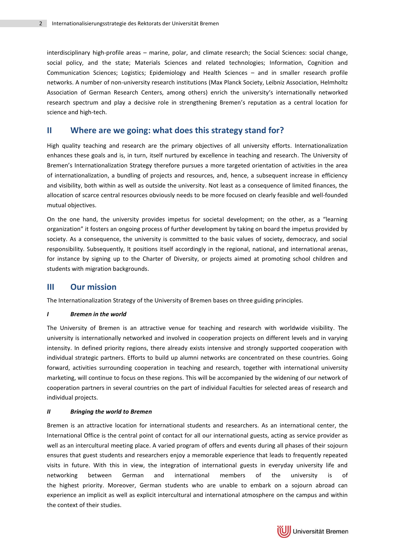interdisciplinary high-profile areas – marine, polar, and climate research; the Social Sciences: social change, social policy, and the state; Materials Sciences and related technologies; Information, Cognition and Communication Sciences; Logistics; Epidemiology and Health Sciences – and in smaller research profile networks. A number of non-university research institutions (Max Planck Society, Leibniz Association, Helmholtz Association of German Research Centers, among others) enrich the university's internationally networked research spectrum and play a decisive role in strengthening Bremen's reputation as a central location for science and high-tech.

## **II Where are we going: what does this strategy stand for?**

High quality teaching and research are the primary objectives of all university efforts. Internationalization enhances these goals and is, in turn, itself nurtured by excellence in teaching and research. The University of Bremen's Internationalization Strategy therefore pursues a more targeted orientation of activities in the area of internationalization, a bundling of projects and resources, and, hence, a subsequent increase in efficiency and visibility, both within as well as outside the university. Not least as a consequence of limited finances, the allocation of scarce central resources obviously needs to be more focused on clearly feasible and well-founded mutual objectives.

On the one hand, the university provides impetus for societal development; on the other, as a "learning organization" it fosters an ongoing process of further development by taking on board the impetus provided by society. As a consequence, the university is committed to the basic values of society, democracy, and social responsibility. Subsequently, It positions itself accordingly in the regional, national, and international arenas, for instance by signing up to the Charter of Diversity, or projects aimed at promoting school children and students with migration backgrounds.

## **III Our mission**

The Internationalization Strategy of the University of Bremen bases on three guiding principles.

#### *I Bremen in the world*

The University of Bremen is an attractive venue for teaching and research with worldwide visibility. The university is internationally networked and involved in cooperation projects on different levels and in varying intensity. In defined priority regions, there already exists intensive and strongly supported cooperation with individual strategic partners. Efforts to build up alumni networks are concentrated on these countries. Going forward, activities surrounding cooperation in teaching and research, together with international university marketing, will continue to focus on these regions. This will be accompanied by the widening of our network of cooperation partners in several countries on the part of individual Faculties for selected areas of research and individual projects.

#### *II Bringing the world to Bremen*

Bremen is an attractive location for international students and researchers. As an international center, the International Office is the central point of contact for all our international guests, acting as service provider as well as an intercultural meeting place. A varied program of offers and events during all phases of their sojourn ensures that guest students and researchers enjoy a memorable experience that leads to frequently repeated visits in future. With this in view, the integration of international guests in everyday university life and networking between German and international members of the university is of the highest priority. Moreover, German students who are unable to embark on a sojourn abroad can experience an implicit as well as explicit intercultural and international atmosphere on the campus and within the context of their studies.

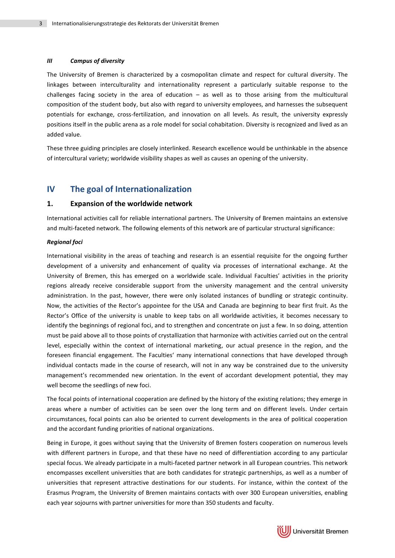#### *III Campus of diversity*

The University of Bremen is characterized by a cosmopolitan climate and respect for cultural diversity. The linkages between interculturality and internationality represent a particularly suitable response to the challenges facing society in the area of education – as well as to those arising from the multicultural composition of the student body, but also with regard to university employees, and harnesses the subsequent potentials for exchange, cross-fertilization, and innovation on all levels. As result, the university expressly positions itself in the public arena as a role model for social cohabitation. Diversity is recognized and lived as an added value.

These three guiding principles are closely interlinked. Research excellence would be unthinkable in the absence of intercultural variety; worldwide visibility shapes as well as causes an opening of the university.

## **IV The goal of Internationalization**

#### **1. Expansion of the worldwide network**

International activities call for reliable international partners. The University of Bremen maintains an extensive and multi-faceted network. The following elements of this network are of particular structural significance:

#### *Regional foci*

International visibility in the areas of teaching and research is an essential requisite for the ongoing further development of a university and enhancement of quality via processes of international exchange. At the University of Bremen, this has emerged on a worldwide scale. Individual Faculties' activities in the priority regions already receive considerable support from the university management and the central university administration. In the past, however, there were only isolated instances of bundling or strategic continuity. Now, the activities of the Rector's appointee for the USA and Canada are beginning to bear first fruit. As the Rector's Office of the university is unable to keep tabs on all worldwide activities, it becomes necessary to identify the beginnings of regional foci, and to strengthen and concentrate on just a few. In so doing, attention must be paid above all to those points of crystallization that harmonize with activities carried out on the central level, especially within the context of international marketing, our actual presence in the region, and the foreseen financial engagement. The Faculties' many international connections that have developed through individual contacts made in the course of research, will not in any way be constrained due to the university management's recommended new orientation. In the event of accordant development potential, they may well become the seedlings of new foci.

The focal points of international cooperation are defined by the history of the existing relations; they emerge in areas where a number of activities can be seen over the long term and on different levels. Under certain circumstances, focal points can also be oriented to current developments in the area of political cooperation and the accordant funding priorities of national organizations.

Being in Europe, it goes without saying that the University of Bremen fosters cooperation on numerous levels with different partners in Europe, and that these have no need of differentiation according to any particular special focus. We already participate in a multi-faceted partner network in all European countries. This network encompasses excellent universities that are both candidates for strategic partnerships, as well as a number of universities that represent attractive destinations for our students. For instance, within the context of the Erasmus Program, the University of Bremen maintains contacts with over 300 European universities, enabling each year sojourns with partner universities for more than 350 students and faculty.

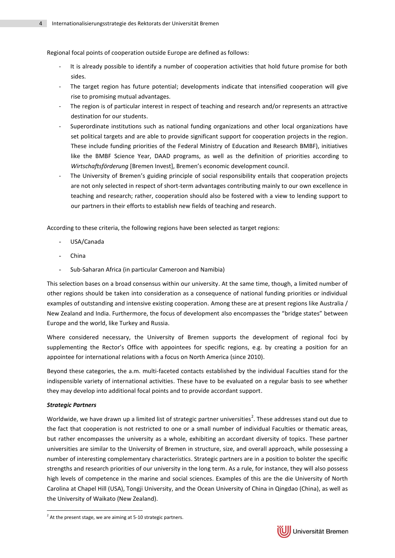Regional focal points of cooperation outside Europe are defined as follows:

- It is already possible to identify a number of cooperation activities that hold future promise for both sides.
- The target region has future potential; developments indicate that intensified cooperation will give rise to promising mutual advantages.
- The region is of particular interest in respect of teaching and research and/or represents an attractive destination for our students.
- Superordinate institutions such as national funding organizations and other local organizations have set political targets and are able to provide significant support for cooperation projects in the region. These include funding priorities of the Federal Ministry of Education and Research BMBF), initiatives like the BMBF Science Year, DAAD programs, as well as the definition of priorities according to *Wirtschaftsförderung* [Bremen Invest], Bremen's economic development council.
- The University of Bremen's guiding principle of social responsibility entails that cooperation projects are not only selected in respect of short-term advantages contributing mainly to our own excellence in teaching and research; rather, cooperation should also be fostered with a view to lending support to our partners in their efforts to establish new fields of teaching and research.

According to these criteria, the following regions have been selected as target regions:

- USA/Canada
- **China**
- Sub-Saharan Africa (in particular Cameroon and Namibia)

This selection bases on a broad consensus within our university. At the same time, though, a limited number of other regions should be taken into consideration as a consequence of national funding priorities or individual examples of outstanding and intensive existing cooperation. Among these are at present regions like Australia / New Zealand and India. Furthermore, the focus of development also encompasses the "bridge states" between Europe and the world, like Turkey and Russia.

Where considered necessary, the University of Bremen supports the development of regional foci by supplementing the Rector's Office with appointees for specific regions, e.g. by creating a position for an appointee for international relations with a focus on North America (since 2010).

Beyond these categories, the a.m. multi-faceted contacts established by the individual Faculties stand for the indispensible variety of international activities. These have to be evaluated on a regular basis to see whether they may develop into additional focal points and to provide accordant support.

#### *Strategic Partners*

1

Worldwide, we have drawn up a limited list of strategic partner universities<sup>2</sup>. These addresses stand out due to the fact that cooperation is not restricted to one or a small number of individual Faculties or thematic areas, but rather encompasses the university as a whole, exhibiting an accordant diversity of topics. These partner universities are similar to the University of Bremen in structure, size, and overall approach, while possessing a number of interesting complementary characteristics. Strategic partners are in a position to bolster the specific strengths and research priorities of our university in the long term. As a rule, for instance, they will also possess high levels of competence in the marine and social sciences. Examples of this are the die University of North Carolina at Chapel Hill (USA), Tongji University, and the Ocean University of China in Qingdao (China), as well as the University of Waikato (New Zealand).



 $2$  At the present stage, we are aiming at 5-10 strategic partners.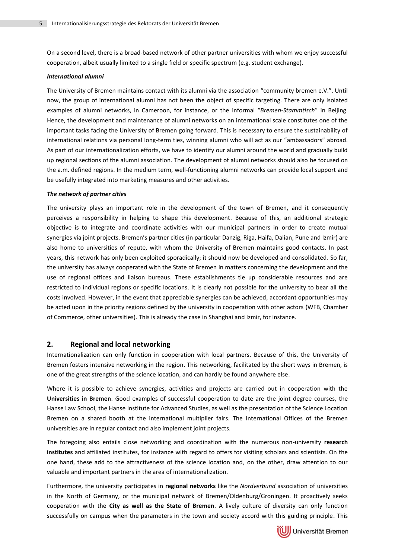On a second level, there is a broad-based network of other partner universities with whom we enjoy successful cooperation, albeit usually limited to a single field or specific spectrum (e.g. student exchange).

#### *International alumni*

The University of Bremen maintains contact with its alumni via the association "community bremen e.V.". Until now, the group of international alumni has not been the object of specific targeting. There are only isolated examples of alumni networks, in Cameroon, for instance, or the informal "*Bremen-Stammtisch*" in Beijing. Hence, the development and maintenance of alumni networks on an international scale constitutes one of the important tasks facing the University of Bremen going forward. This is necessary to ensure the sustainability of international relations via personal long-term ties, winning alumni who will act as our "ambassadors" abroad. As part of our internationalization efforts, we have to identify our alumni around the world and gradually build up regional sections of the alumni association. The development of alumni networks should also be focused on the a.m. defined regions. In the medium term, well-functioning alumni networks can provide local support and be usefully integrated into marketing measures and other activities.

#### *The network of partner cities*

The university plays an important role in the development of the town of Bremen, and it consequently perceives a responsibility in helping to shape this development. Because of this, an additional strategic objective is to integrate and coordinate activities with our municipal partners in order to create mutual synergies via joint projects. Bremen's partner cities (in particular Danzig, Riga, Haifa, Dalian, Pune and Izmir) are also home to universities of repute, with whom the University of Bremen maintains good contacts. In past years, this network has only been exploited sporadically; it should now be developed and consolidated. So far, the university has always cooperated with the State of Bremen in matters concerning the development and the use of regional offices and liaison bureaus. These establishments tie up considerable resources and are restricted to individual regions or specific locations. It is clearly not possible for the university to bear all the costs involved. However, in the event that appreciable synergies can be achieved, accordant opportunities may be acted upon in the priority regions defined by the university in cooperation with other actors (WFB, Chamber of Commerce, other universities). This is already the case in Shanghai and Izmir, for instance.

#### **2. Regional and local networking**

Internationalization can only function in cooperation with local partners. Because of this, the University of Bremen fosters intensive networking in the region. This networking, facilitated by the short ways in Bremen, is one of the great strengths of the science location, and can hardly be found anywhere else.

Where it is possible to achieve synergies, activities and projects are carried out in cooperation with the **Universities in Bremen**. Good examples of successful cooperation to date are the joint degree courses, the Hanse Law School, the Hanse Institute for Advanced Studies, as well as the presentation of the Science Location Bremen on a shared booth at the international multiplier fairs. The International Offices of the Bremen universities are in regular contact and also implement joint projects.

The foregoing also entails close networking and coordination with the numerous non-university **research institutes** and affiliated institutes, for instance with regard to offers for visiting scholars and scientists. On the one hand, these add to the attractiveness of the science location and, on the other, draw attention to our valuable and important partners in the area of internationalization.

Furthermore, the university participates in **regional networks** like the *Nordverbund* association of universities in the North of Germany, or the municipal network of Bremen/Oldenburg/Groningen. It proactively seeks cooperation with the **City as well as the State of Bremen**. A lively culture of diversity can only function successfully on campus when the parameters in the town and society accord with this guiding principle. This

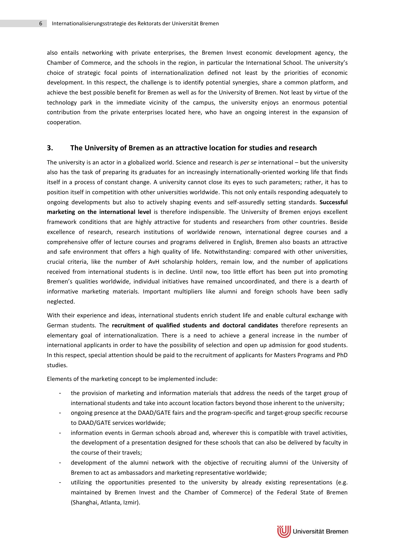also entails networking with private enterprises, the Bremen Invest economic development agency, the Chamber of Commerce, and the schools in the region, in particular the International School. The university's choice of strategic focal points of internationalization defined not least by the priorities of economic development. In this respect, the challenge is to identify potential synergies, share a common platform, and achieve the best possible benefit for Bremen as well as for the University of Bremen. Not least by virtue of the technology park in the immediate vicinity of the campus, the university enjoys an enormous potential contribution from the private enterprises located here, who have an ongoing interest in the expansion of cooperation.

#### **3. The University of Bremen as an attractive location for studies and research**

The university is an actor in a globalized world. Science and research is *per se* international – but the university also has the task of preparing its graduates for an increasingly internationally-oriented working life that finds itself in a process of constant change. A university cannot close its eyes to such parameters; rather, it has to position itself in competition with other universities worldwide. This not only entails responding adequately to ongoing developments but also to actively shaping events and self-assuredly setting standards. **Successful marketing on the international level** is therefore indispensible. The University of Bremen enjoys excellent framework conditions that are highly attractive for students and researchers from other countries. Beside excellence of research, research institutions of worldwide renown, international degree courses and a comprehensive offer of lecture courses and programs delivered in English, Bremen also boasts an attractive and safe environment that offers a high quality of life. Notwithstanding: compared with other universities, crucial criteria, like the number of AvH scholarship holders, remain low, and the number of applications received from international students is in decline. Until now, too little effort has been put into promoting Bremen's qualities worldwide, individual initiatives have remained uncoordinated, and there is a dearth of informative marketing materials. Important multipliers like alumni and foreign schools have been sadly neglected.

With their experience and ideas, international students enrich student life and enable cultural exchange with German students. The **recruitment of qualified students and doctoral candidates** therefore represents an elementary goal of internationalization. There is a need to achieve a general increase in the number of international applicants in order to have the possibility of selection and open up admission for good students. In this respect, special attention should be paid to the recruitment of applicants for Masters Programs and PhD studies.

Elements of the marketing concept to be implemented include:

- the provision of marketing and information materials that address the needs of the target group of international students and take into account location factors beyond those inherent to the university;
- ongoing presence at the DAAD/GATE fairs and the program-specific and target-group specific recourse to DAAD/GATE services worldwide;
- information events in German schools abroad and, wherever this is compatible with travel activities, the development of a presentation designed for these schools that can also be delivered by faculty in the course of their travels;
- development of the alumni network with the objective of recruiting alumni of the University of Bremen to act as ambassadors and marketing representative worldwide;
- utilizing the opportunities presented to the university by already existing representations (e.g. maintained by Bremen Invest and the Chamber of Commerce) of the Federal State of Bremen (Shanghai, Atlanta, Izmir).

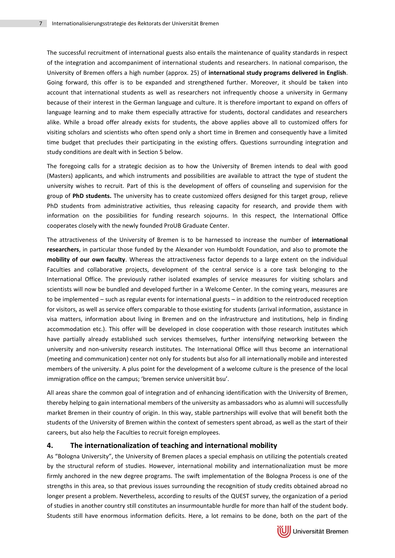The successful recruitment of international guests also entails the maintenance of quality standards in respect of the integration and accompaniment of international students and researchers. In national comparison, the University of Bremen offers a high number (approx. 25) of **international study programs delivered in English**. Going forward, this offer is to be expanded and strengthened further. Moreover, it should be taken into account that international students as well as researchers not infrequently choose a university in Germany because of their interest in the German language and culture. It is therefore important to expand on offers of language learning and to make them especially attractive for students, doctoral candidates and researchers alike. While a broad offer already exists for students, the above applies above all to customized offers for visiting scholars and scientists who often spend only a short time in Bremen and consequently have a limited time budget that precludes their participating in the existing offers. Questions surrounding integration and study conditions are dealt with in Section 5 below.

The foregoing calls for a strategic decision as to how the University of Bremen intends to deal with good (Masters) applicants, and which instruments and possibilities are available to attract the type of student the university wishes to recruit. Part of this is the development of offers of counseling and supervision for the group of **PhD students.** The university has to create customized offers designed for this target group, relieve PhD students from administrative activities, thus releasing capacity for research, and provide them with information on the possibilities for funding research sojourns. In this respect, the International Office cooperates closely with the newly founded ProUB Graduate Center.

The attractiveness of the University of Bremen is to be harnessed to increase the number of **international researchers**, in particular those funded by the Alexander von Humboldt Foundation, and also to promote the **mobility of our own faculty**. Whereas the attractiveness factor depends to a large extent on the individual Faculties and collaborative projects, development of the central service is a core task belonging to the International Office. The previously rather isolated examples of service measures for visiting scholars and scientists will now be bundled and developed further in a Welcome Center. In the coming years, measures are to be implemented – such as regular events for international guests – in addition to the reintroduced reception for visitors, as well as service offers comparable to those existing for students (arrival information, assistance in visa matters, information about living in Bremen and on the infrastructure and institutions, help in finding accommodation etc.). This offer will be developed in close cooperation with those research institutes which have partially already established such services themselves, further intensifying networking between the university and non-university research institutes. The International Office will thus become an international (meeting and communication) center not only for students but also for all internationally mobile and interested members of the university. A plus point for the development of a welcome culture is the presence of the local immigration office on the campus; 'bremen service universität bsu'.

All areas share the common goal of integration and of enhancing identification with the University of Bremen, thereby helping to gain international members of the university as ambassadors who as alumni will successfully market Bremen in their country of origin. In this way, stable partnerships will evolve that will benefit both the students of the University of Bremen within the context of semesters spent abroad, as well as the start of their careers, but also help the Faculties to recruit foreign employees.

#### **4. The internationalization of teaching and international mobility**

As "Bologna University", the University of Bremen places a special emphasis on utilizing the potentials created by the structural reform of studies. However, international mobility and internationalization must be more firmly anchored in the new degree programs. The swift implementation of the Bologna Process is one of the strengths in this area, so that previous issues surrounding the recognition of study credits obtained abroad no longer present a problem. Nevertheless, according to results of the QUEST survey, the organization of a period of studies in another country still constitutes an insurmountable hurdle for more than half of the student body. Students still have enormous information deficits. Here, a lot remains to be done, both on the part of the



(UJ) Universität Bremen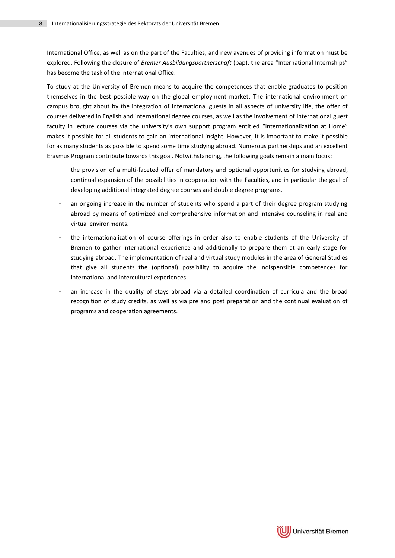International Office, as well as on the part of the Faculties, and new avenues of providing information must be explored. Following the closure of *Bremer Ausbildungspartnerschaft* (bap), the area "International Internships" has become the task of the International Office.

To study at the University of Bremen means to acquire the competences that enable graduates to position themselves in the best possible way on the global employment market. The international environment on campus brought about by the integration of international guests in all aspects of university life, the offer of courses delivered in English and international degree courses, as well as the involvement of international guest faculty in lecture courses via the university's own support program entitled "Internationalization at Home" makes it possible for all students to gain an international insight. However, it is important to make it possible for as many students as possible to spend some time studying abroad. Numerous partnerships and an excellent Erasmus Program contribute towards this goal. Notwithstanding, the following goals remain a main focus:

- the provision of a multi-faceted offer of mandatory and optional opportunities for studying abroad, continual expansion of the possibilities in cooperation with the Faculties, and in particular the goal of developing additional integrated degree courses and double degree programs.
- an ongoing increase in the number of students who spend a part of their degree program studying abroad by means of optimized and comprehensive information and intensive counseling in real and virtual environments.
- the internationalization of course offerings in order also to enable students of the University of Bremen to gather international experience and additionally to prepare them at an early stage for studying abroad. The implementation of real and virtual study modules in the area of General Studies that give all students the (optional) possibility to acquire the indispensible competences for international and intercultural experiences.
- an increase in the quality of stays abroad via a detailed coordination of curricula and the broad recognition of study credits, as well as via pre and post preparation and the continual evaluation of programs and cooperation agreements.

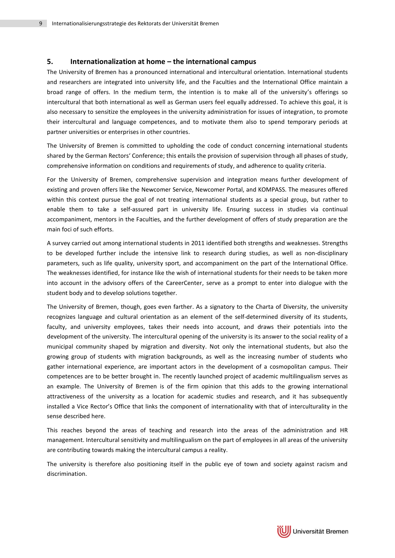#### **5. Internationalization at home – the international campus**

The University of Bremen has a pronounced international and intercultural orientation. International students and researchers are integrated into university life, and the Faculties and the International Office maintain a broad range of offers. In the medium term, the intention is to make all of the university's offerings so intercultural that both international as well as German users feel equally addressed. To achieve this goal, it is also necessary to sensitize the employees in the university administration for issues of integration, to promote their intercultural and language competences, and to motivate them also to spend temporary periods at partner universities or enterprises in other countries.

The University of Bremen is committed to upholding the code of conduct concerning international students shared by the German Rectors' Conference; this entails the provision of supervision through all phases of study, comprehensive information on conditions and requirements of study, and adherence to quality criteria.

For the University of Bremen, comprehensive supervision and integration means further development of existing and proven offers like the Newcomer Service, Newcomer Portal, and KOMPASS. The measures offered within this context pursue the goal of not treating international students as a special group, but rather to enable them to take a self-assured part in university life. Ensuring success in studies via continual accompaniment, mentors in the Faculties, and the further development of offers of study preparation are the main foci of such efforts.

A survey carried out among international students in 2011 identified both strengths and weaknesses. Strengths to be developed further include the intensive link to research during studies, as well as non-disciplinary parameters, such as life quality, university sport, and accompaniment on the part of the International Office. The weaknesses identified, for instance like the wish of international students for their needs to be taken more into account in the advisory offers of the CareerCenter, serve as a prompt to enter into dialogue with the student body and to develop solutions together.

The University of Bremen, though, goes even farther. As a signatory to the Charta of Diversity, the university recognizes language and cultural orientation as an element of the self-determined diversity of its students, faculty, and university employees, takes their needs into account, and draws their potentials into the development of the university. The intercultural opening of the university is its answer to the social reality of a municipal community shaped by migration and diversity. Not only the international students, but also the growing group of students with migration backgrounds, as well as the increasing number of students who gather international experience, are important actors in the development of a cosmopolitan campus. Their competences are to be better brought in. The recently launched project of academic multilingualism serves as an example. The University of Bremen is of the firm opinion that this adds to the growing international attractiveness of the university as a location for academic studies and research, and it has subsequently installed a Vice Rector's Office that links the component of internationality with that of interculturality in the sense described here.

This reaches beyond the areas of teaching and research into the areas of the administration and HR management. Intercultural sensitivity and multilingualism on the part of employees in all areas of the university are contributing towards making the intercultural campus a reality.

The university is therefore also positioning itself in the public eye of town and society against racism and discrimination.

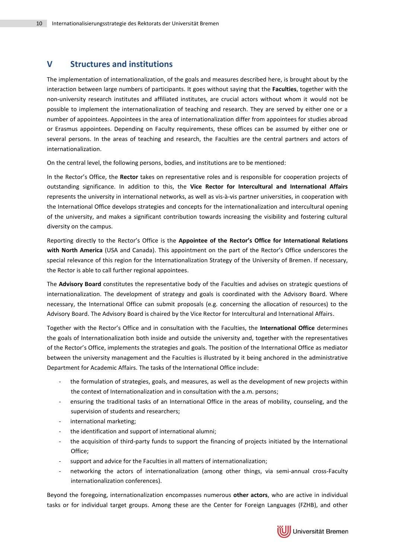## **V Structures and institutions**

The implementation of internationalization, of the goals and measures described here, is brought about by the interaction between large numbers of participants. It goes without saying that the **Faculties**, together with the non-university research institutes and affiliated institutes, are crucial actors without whom it would not be possible to implement the internationalization of teaching and research. They are served by either one or a number of appointees. Appointees in the area of internationalization differ from appointees for studies abroad or Erasmus appointees. Depending on Faculty requirements, these offices can be assumed by either one or several persons. In the areas of teaching and research, the Faculties are the central partners and actors of internationalization.

On the central level, the following persons, bodies, and institutions are to be mentioned:

In the Rector's Office, the **Rector** takes on representative roles and is responsible for cooperation projects of outstanding significance. In addition to this, the **Vice Rector for Intercultural and International Affairs** represents the university in international networks, as well as vis-à-vis partner universities, in cooperation with the International Office develops strategies and concepts for the internationalization and intercultural opening of the university, and makes a significant contribution towards increasing the visibility and fostering cultural diversity on the campus.

Reporting directly to the Rector's Office is the **Appointee of the Rector's Office for International Relations with North America** (USA and Canada). This appointment on the part of the Rector's Office underscores the special relevance of this region for the Internationalization Strategy of the University of Bremen. If necessary, the Rector is able to call further regional appointees.

The **Advisory Board** constitutes the representative body of the Faculties and advises on strategic questions of internationalization. The development of strategy and goals is coordinated with the Advisory Board. Where necessary, the International Office can submit proposals (e.g. concerning the allocation of resources) to the Advisory Board. The Advisory Board is chaired by the Vice Rector for Intercultural and International Affairs.

Together with the Rector's Office and in consultation with the Faculties, the **International Office** determines the goals of Internationalization both inside and outside the university and, together with the representatives of the Rector's Office, implements the strategies and goals. The position of the International Office as mediator between the university management and the Faculties is illustrated by it being anchored in the administrative Department for Academic Affairs. The tasks of the International Office include:

- the formulation of strategies, goals, and measures, as well as the development of new projects within the context of Internationalization and in consultation with the a.m. persons;
- ensuring the traditional tasks of an International Office in the areas of mobility, counseling, and the supervision of students and researchers;
- international marketing;
- the identification and support of international alumni;
- the acquisition of third-party funds to support the financing of projects initiated by the International Office;
- support and advice for the Faculties in all matters of internationalization;
- networking the actors of internationalization (among other things, via semi-annual cross-Faculty internationalization conferences).

Beyond the foregoing, internationalization encompasses numerous **other actors**, who are active in individual tasks or for individual target groups. Among these are the Center for Foreign Languages (FZHB), and other